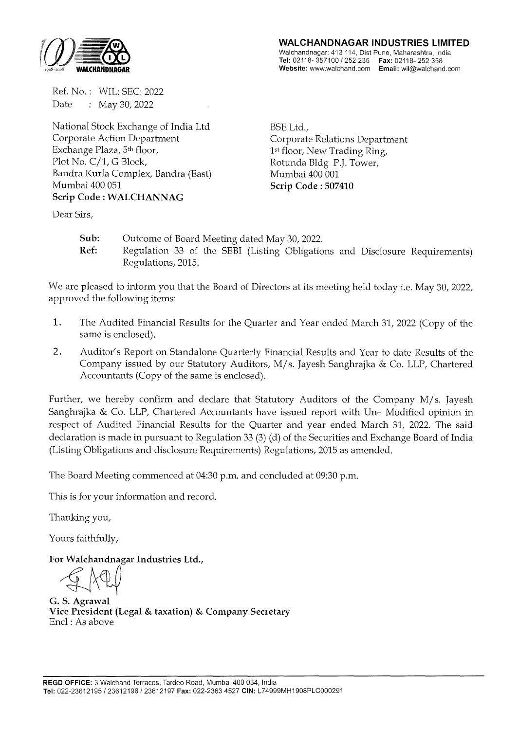

Ref. No. : WIL: SEC: 2022 Date : May 30, 2022

National Stock Exchange of India Ltd Corporate Action Department Exchange Plaza, 5th floor, Plot No. C/1, G Block, Bandra Kurla Complex, Bandra (East) Mumbai 400 051 **Scrip Code : WALCHANNAG** 

**WALCHANDNAGAR INDUSTRIES LIMITED** 

Walchandnagar: 413 114, Dist Pune, Maharashtra, India **Tel:** 02118-357100 I 252 235 **Fax:** 02118-252 358 **Website:** www.walchand.com **Email:** wil@walchand.com

BSE Ltd., Corporate Relations Department 1st floor, New Trading Ring, Rotunda Bldg P.J. Tower, Mumbai 400 001 **Scrip Code : 507410** 

Dear Sirs,

**Sub:** Outcome of Board Meeting dated May 30, 2022. **Ref:** Regulation 33 of the SEBI (Listing Obligations and Disclosure Requirements) Regulations, 2015.

We are pleased to inform you that the Board of Directors at its meeting held today i.e. May 30, 2022, approved the following items:

- **1.** The Audited Financial Results for the Quarter and Year ended March 31, 2022 (Copy of the same is enclosed).
- **2.** Auditor's Report on Standalone Quarterly Financial Results and Year to date Results of the Company issued by our Statutory Auditors, M/ s. Jayesh Sanghrajka & Co. LLP, Chartered Accountants (Copy of the same is enclosed).

Further, we hereby confirm and declare that Statutory Auditors of the Company M/s. Jayesh Sanghrajka & Co. LLP, Chartered Accountants have issued report with Un- Modified opinion in respect of Audited Financial Results for the Quarter and year ended March 31, 2022. The said declaration is made in pursuant to Regulation 33 (3) (d) of the Securities and Exchange Board of India (Listing Obligations and disclosure Requirements) Regulations, 2015 as amended.

The Board Meeting commenced at 04:30 p.m. and concluded at 09:30 p.m.

This is for your information and record.

Thanking you,

Yours faithfully,

For Walchandnagar Industries Ltd.,

**G. S. Agrawal Vice President (Legal & taxation) & Company Secretary**  Encl : As above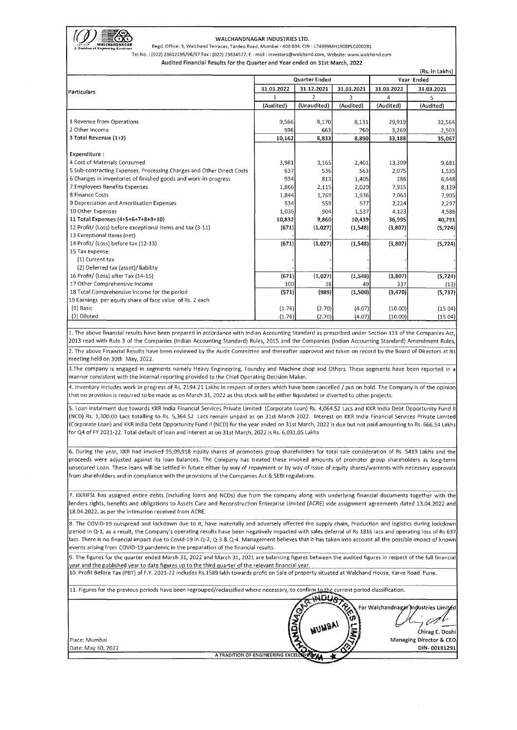

rQJJI~~~ WALCHANDNAGAR INDUSTRIES LTD. **<sup>A</sup>**>!:.-,l.."f\~1 **Regd. Office: 3, Walchand Terraces, Tardeo Road, Mumbai- 400 034. CIN** : L74999MH1908PLC000291

Tel No. : **{022) 23612195/96/97 Fax: {022) 23634527, E-mail: investors@walchand.com, Website: www.walchand.com** 

(Rs. in Lakhs)

### Audited Financial Results for the Quarter and Year ended on 31st March, 2022

|                                                                       | Quarter Ended |                |            | Year Ended |            |  |
|-----------------------------------------------------------------------|---------------|----------------|------------|------------|------------|--|
| Particulars                                                           | 31.03.2022    | 31.12.2021     | 31.03.2021 | 31.03.2022 | 31.03.2021 |  |
|                                                                       | 1             | $\overline{2}$ | 3          | 4          | 5          |  |
|                                                                       | (Audited)     | (Unaudited)    | (Audited)  | (Audited)  | (Audited)  |  |
|                                                                       |               |                |            |            |            |  |
| 1 Revenue from Operations                                             | 9,566         | 8,170          | 8,131      | 29,919     | 32,564     |  |
| 2 Other Income                                                        | 596           | 663            | 760        | 3,269      | 2,503      |  |
| 3 Total Revenue (1+2)                                                 | 10,162        | 8,833          | 8.890      | 33,188     | 35,067     |  |
| Expenditure:                                                          |               |                |            |            |            |  |
| 4 Cost of Materials Consumed                                          | 3,981         | 3,165          | 2,401      | 13,309     | 9,681      |  |
| 5 Sub-contracting Expenses, Processing Charges and Other Direct Costs | 637           | 536            | 563        | 2.075      | 1,535      |  |
| 6 Changes in inventories of finished goods and work-in-progress       | 934           | 813            | 1,405      | 286        | 6,648      |  |
| 7 Employees Benefits Expenses                                         | 1,866         | 2,115          | 2,020      | 7,915      | 8,139      |  |
| 8 Finance Costs                                                       | 1,844         | 1,769          | 1,936      | 7,063      | 7,905      |  |
| 9 Depreciation and Amortisation Expenses                              | 534           | 559            | 577        | 2,224      | 2,297      |  |
| 10 Other Expenses                                                     | 1,036         | 904            | 1,537      | 4,123      | 4,586      |  |
| 11 Total Expenses (4+5+6+7+8+9+10)                                    | 10,832        | 9,860          | 10,439     | 36,995     | 40,791     |  |
| 12 Profit/ (Loss) before exceptional items and tax (3-11)             | (671)         |                |            |            |            |  |
| 13 Exceptional Items (net)                                            |               | (1,027)        | (1, 548)   | (3,807)    | (5, 724)   |  |
| 14 Profit/ (Loss) before tax (12-13)                                  | (671)         | (1,027)        | (1, 548)   | (3,807)    | (5, 724)   |  |
| 15 Tax expense:                                                       |               |                |            |            |            |  |
| (1) Current tax                                                       |               |                |            |            |            |  |
| (2) Deferred tax (asset)/liability                                    |               |                |            |            |            |  |
| 16 Profit/ (Loss) after Tax (14-15)                                   | (671)         | (1,027)        | (1, 548)   | (3,807)    | (5, 724)   |  |
| 17 Other Comprehensive Income                                         | 100           | 38             | 49         | 337        | (13)       |  |
| 18 Total Comprehensive Income for the period                          | (571)         | (989)          | (1,500)    | (3, 470)   |            |  |
| 19 Earnings per equity share of face value of Rs. 2 each              |               |                |            |            | (5,737)    |  |
| (1) Basic                                                             | (1.76)        | (2.70)         | (4.07)     | (10.00)    |            |  |
| (2) Diluted                                                           |               |                |            |            | (15.04)    |  |
|                                                                       | (1.76)        | (2.70)         | (4.07)     | (10.00)    | (15.04)    |  |

1. The above financial results have been prepared in accordance with Indian Accounting Standard as prescribed under Section 133 of the Companies Act, 2013 read with Rule 3 of the Companies (Indian Accounting Standard) Rules, 2015 and the Companies (Indian Accounting Standard) Amendment Rules, **2. The above Financial Results have been reviewed by the Audit Committee and thereafter approved and taken on record by the Board of Directors at its**  meeting held on 30th May, 2022.

3.The company is engaged in segments namely Heavy Engineering, Foundry and Machine shop and Others. These segments have been reported in a manner consistent with the internal reporting provided to the Chief Operating Decision Maker.

4. Inventory includes work in progress of Rs. 2194.21 Lakhs in respect of orders which have been cancelled / put on hold. The Company is of the opinion that no provision is required to be made as on March 31, 2022 as this stock will be either liquidated or diverted to other projects.

5. Loan instalment due towards KKR India Financial Services Private Limited (Corporate Loan) Rs. 4,064.52 Lacs and KKR India Debt Opportunity Fund II (NCO) Rs. 1,300.00 Lacs totalling to Rs. 5,364.52 Lacs remain unpaid as on 31st March 2022. Interest on KKR India Financial Services Private Limited (Corporate Loan) and KKR India Debt Opportunity Fund II (NCD) for the year ended on 31st March, 2022 is due but not paid amounting to Rs. 666.54 Lakhs for Q4 of FY 2021-22. Total default of loan and interest as on 31st March, 2022 is Rs. 6,031.05 Lakhs

6. During the year, KKR had invoked 95,09,918 equity shares of promoters group shareholders for total sale consideration of Rs. 5419 Lakhs and the proceeds were adjusted against its loan balances. The Company has treated these invoked amounts of promoter group shareholders as long-term unsecured Loan. These loans will be settled in future either by way of repayment or by way of issue of equity shares/warrants with necessary approvals from shareholders and in compliance with the provisions of the Companies Act & SEBI regulations.

7. KKRIFSL has assigned entire debts (including loans and NCDs) due from the company along with underlying financial documents together with the lenders rights, benefits and obligations to Assets Care and Reconstruction Enterprise Limited (ACRE) vide assignment agreements dated 13.04.2022 and 18.04.2022, as per the intimation received from ACRE.

8. The COVID-19 outspread and lockdown due to it, have materially and adversely affected the supply chain, Production and logistics during lockdown period in Q-1, as a result, the Company's operating results have been negatively impacted with sales deferral of Rs 1816 lacs and operating loss of Rs 637 lacs. There is no financial impact due to Covid-19 in Q-2, Q-3 & Q-4. Management believes that it has taken into account all the possible impact of known events arising from COVID-19 pandemic in the preparation of the financial results.

9. The figures for the quarter ended March 31, 2022 and March 31, 2021 are balancing figures between the audited figures in respect of the full financial year and the published year to date figures up to the third quarter of the relevant financial year.

10. Profit Before Tax (PBT) of F.Y. 2021-22 includes Rs.1589 lakh towards profit on Sale of property situated at Walchand House, Karve Road Pune.

11. Figures for the previous periods have been regrouped/reclassified where necessary, to confirm~ current period classification. \_,.-,.\_\nl ;;.:-.....

| Place: Mumbai<br>Date: May 30, 2022 | $10^{35}$<br>For Walchandnagar Industries Limited<br>H<br><b>SP</b><br>(Ω)<br>. MUMBAI .<br>$\frac{6}{2}$<br>ది<br>Chirag C. Doshi<br>Managing Director & CEO<br>DIN-00181291 |
|-------------------------------------|-------------------------------------------------------------------------------------------------------------------------------------------------------------------------------|
|                                     | A TRADITION OF ENGINEERING EXCELLENCE                                                                                                                                         |
|                                     |                                                                                                                                                                               |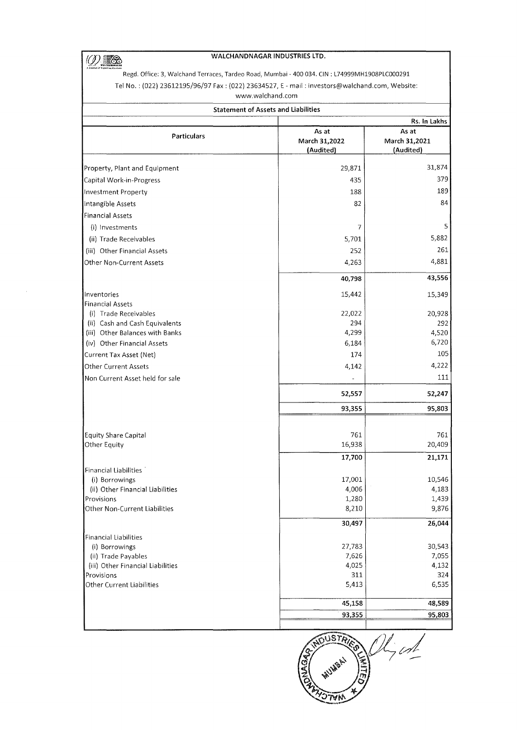$\overline{\textcircled{10}}$ 

 $\bar{\beta}$ 

## WALCHANDNAGAR INDUSTRIES LTD.

Regd. Office: 3, Walchand Terraces, Tardeo Road, Mumbai- 400 034. CIN: L74999MH1908PLC000291 Tel No. : (022) 23612195/96/97 Fax: (022) 23634527, E-mail : investors@walchand.com, Website:

www.walchand.com

| <b>Statement of Assets and Liabilities</b>     |                                     |                                     |  |  |  |  |
|------------------------------------------------|-------------------------------------|-------------------------------------|--|--|--|--|
| Rs. In Lakhs                                   |                                     |                                     |  |  |  |  |
| <b>Particulars</b>                             | As at<br>March 31,2022<br>(Audited) | As at<br>March 31,2021<br>(Audited) |  |  |  |  |
| Property, Plant and Equipment                  | 29,871                              | 31,874                              |  |  |  |  |
| Capital Work-in-Progress                       | 435                                 | 379                                 |  |  |  |  |
| Investment Property                            | 188                                 | 189                                 |  |  |  |  |
| Intangible Assets                              | 82                                  | 84                                  |  |  |  |  |
| Financial Assets                               |                                     |                                     |  |  |  |  |
| (i) Investments                                | 7                                   | 5                                   |  |  |  |  |
| (ii) Trade Receivables                         | 5,701                               | 5,882                               |  |  |  |  |
| (iii) Other Financial Assets                   | 252                                 | 261                                 |  |  |  |  |
| Other Non-Current Assets                       | 4,263                               | 4,881                               |  |  |  |  |
|                                                | 40,798                              | 43,556                              |  |  |  |  |
|                                                |                                     |                                     |  |  |  |  |
| Inventories<br><b>Financial Assets</b>         | 15,442                              | 15,349                              |  |  |  |  |
| (i) Trade Receivables                          | 22,022                              | 20,928                              |  |  |  |  |
| (ii) Cash and Cash Equivalents                 | 294                                 | 292                                 |  |  |  |  |
| (iii) Other Balances with Banks                | 4,299                               | 4,520                               |  |  |  |  |
| (iv) Other Financial Assets                    | 6,184                               | 6,720                               |  |  |  |  |
| Current Tax Asset (Net)                        | 174                                 | 105                                 |  |  |  |  |
| <b>Other Current Assets</b>                    | 4,142                               | 4,222                               |  |  |  |  |
| Non Current Asset held for sale                |                                     | 111                                 |  |  |  |  |
|                                                | 52,557                              | 52,247                              |  |  |  |  |
|                                                | 93,355                              | 95,803                              |  |  |  |  |
|                                                |                                     |                                     |  |  |  |  |
| Equity Share Capital                           | 761                                 | 761                                 |  |  |  |  |
| Other Equity                                   | 16,938                              | 20,409                              |  |  |  |  |
|                                                | 17,700                              | 21,171                              |  |  |  |  |
| Financial Liabilities                          |                                     |                                     |  |  |  |  |
| (i) Borrowings                                 | 17,001                              | 10,546                              |  |  |  |  |
| (ii) Other Financial Liabilities<br>Provisions | 4,006<br>1,280                      | 4,183<br>1,439                      |  |  |  |  |
| Other Non-Current Liabilities                  | 8,210                               | 9,876                               |  |  |  |  |
|                                                | 30,497                              | 26,044                              |  |  |  |  |
| <b>Financial Liabilities</b>                   |                                     |                                     |  |  |  |  |
| (i) Borrowings                                 | 27,783                              | 30,543                              |  |  |  |  |
| (ii) Trade Payables                            | 7,626                               | 7,055                               |  |  |  |  |
| (iii) Other Financial Liabilities              | 4,025                               | 4,132                               |  |  |  |  |
| Provisions                                     | 311                                 | 324                                 |  |  |  |  |
| Other Current Liabilities                      | 5,413                               | 6,535                               |  |  |  |  |
|                                                | 45,158                              | 48,589                              |  |  |  |  |
|                                                | 93,355                              | 95,803                              |  |  |  |  |
|                                                |                                     |                                     |  |  |  |  |

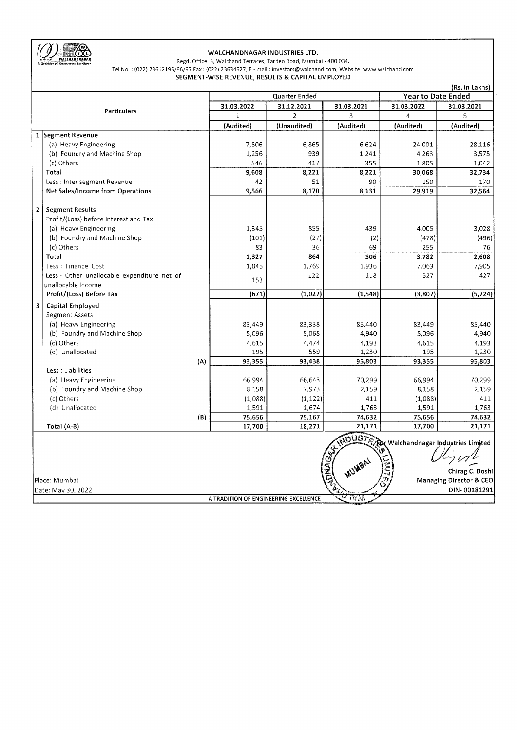

# WALCHANDNAGAR INDUSTRIES LTD.

Regd. Office: 3, Walchand Terraces, Tardeo Road, Mumbai - 400 034. Tel No. : (022) 23612195/96/97 Fax: (022) 23634527, E-mail : investors@walchand.com, Website: www.walchand.com

SEGMENT-WISE REVENUE, RESULTS & CAPITAL EMPLOYED

|                         |                                               |              |                |               |                           |            | (Rs. in Lakhs)          |
|-------------------------|-----------------------------------------------|--------------|----------------|---------------|---------------------------|------------|-------------------------|
|                         |                                               |              |                | Quarter Ended | <b>Year to Date Ended</b> |            |                         |
| <b>Particulars</b>      |                                               | 31.03.2022   | 31.12.2021     | 31.03.2021    | 31.03.2022                | 31.03.2021 |                         |
|                         |                                               | $\mathbf{1}$ | $\overline{2}$ | 3             | $\overline{\mathbf{4}}$   | 5          |                         |
|                         |                                               |              | (Audited)      | (Unaudited)   | (Audited)                 | (Audited)  | (Audited)               |
|                         | 1 Segment Revenue                             |              |                |               |                           |            |                         |
|                         | (a) Heavy Engineering                         |              | 7,806          | 6,865         | 6,624                     | 24,001     | 28,116                  |
|                         | (b) Foundry and Machine Shop                  |              | 1,256          | 939           | 1,241                     | 4,263      | 3,575                   |
|                         | (c) Others                                    |              | 546            | 417           | 355                       | 1,805      | 1,042                   |
|                         | Total                                         |              | 9,608          | 8,221         | 8,221                     | 30,068     | 32,734                  |
|                         | Less : Inter segment Revenue                  |              | 42             | 51            | 90                        | 150        | 170                     |
|                         | Net Sales/Income from Operations              |              | 9,566          | 8,170         | 8,131                     | 29,919     | 32,564                  |
|                         |                                               |              |                |               |                           |            |                         |
| $\overline{\mathbf{2}}$ | <b>Segment Results</b>                        |              |                |               |                           |            |                         |
|                         | Profit/(Loss) before Interest and Tax         |              |                |               |                           |            |                         |
|                         | (a) Heavy Engineering                         |              | 1,345          | 855           | 439                       | 4,005      | 3,028                   |
|                         | (b) Foundry and Machine Shop                  |              | (101)          | (27)          | (2)                       | (478)      | (496)                   |
|                         | (c) Others                                    |              | 83             | 36            | 69                        | 255        | 76                      |
|                         | Total                                         |              | 1,327          | 864           | 506                       | 3,782      | 2,608                   |
|                         | Less : Finance Cost                           |              | 1,845          | 1,769         | 1,936                     | 7,063      | 7,905                   |
|                         | Less - Other unallocable expenditure net of   |              |                | 122           | 118                       | 527        | 427                     |
|                         | unallocable Income                            |              | 153            |               |                           |            |                         |
|                         | Profit/(Loss) Before Tax                      |              | (671)          | (1,027)       | (1, 548)                  | (3,807)    | (5, 724)                |
| 3                       | Capital Employed                              |              |                |               |                           |            |                         |
|                         | Segment Assets                                |              |                |               |                           |            |                         |
|                         | (a) Heavy Engineering                         |              | 83,449         | 83,338        | 85,440                    | 83,449     | 85,440                  |
|                         | (b) Foundry and Machine Shop                  |              | 5,096          | 5,068         | 4,940                     | 5,096      | 4,940                   |
|                         | (c) Others                                    |              | 4,615          | 4,474         | 4,193                     | 4,615      | 4,193                   |
|                         | (d) Unallocated                               |              | 195            | 559           | 1,230                     | 195        | 1,230                   |
|                         |                                               | (A)          | 93,355         | 93,438        | 95,803                    | 93,355     | 95,803                  |
|                         | Less : Liabilities                            |              |                |               |                           |            |                         |
|                         | (a) Heavy Engineering                         |              | 66,994         | 66,643        | 70,299                    | 66,994     | 70,299                  |
|                         | (b) Foundry and Machine Shop                  |              | 8,158          | 7,973         | 2,159                     | 8,158      | 2,159                   |
|                         | (c) Others                                    |              | (1,088)        | (1, 122)      | 411                       | (1,088)    | 411                     |
|                         | (d) Unallocated                               |              | 1,591          | 1,674         | 1,763                     | 1,591      | 1,763                   |
|                         |                                               | (B)          | 75,656         | 75,167        | 74,632                    | 75,656     | 74,632                  |
|                         | Total (A-B)                                   |              | 17,700         | 18,271        | 21,171                    | 17,700     | 21,171                  |
|                         |                                               |              |                |               |                           |            |                         |
|                         |                                               |              |                |               |                           |            |                         |
|                         | NDUSTRIAL Walchandnagar Industries Limited    |              |                |               |                           |            |                         |
|                         |                                               |              |                |               |                           |            |                         |
|                         |                                               |              |                |               | AUMSAL                    |            | Chirag C. Doshi         |
|                         | Place: Mumbai                                 |              |                |               | <b>SSP</b>                |            | Managing Director & CEO |
|                         | Date: May 30, 2022                            |              |                |               |                           |            | DIN-00181291            |
|                         | সা∀শ<br>A TRADITION OF ENGINEERING EXCELLENCE |              |                |               |                           |            |                         |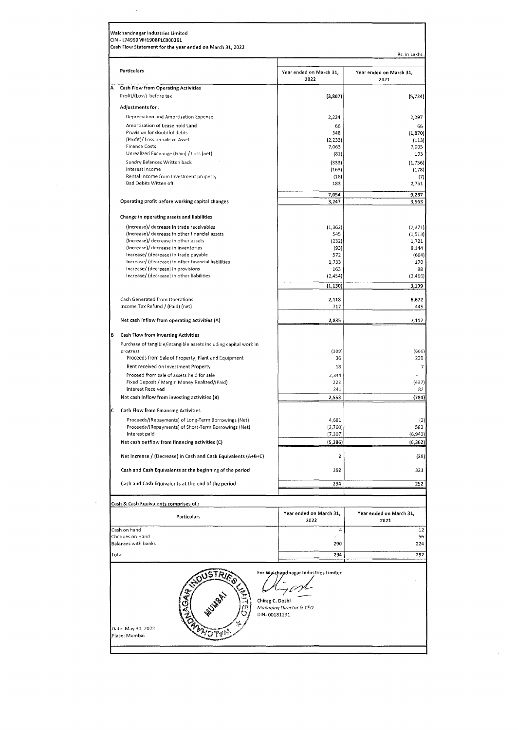|   | Particulars                                                                     | Year ended on March 31,<br>2022                                | Year ended on March 31,<br>2021 |
|---|---------------------------------------------------------------------------------|----------------------------------------------------------------|---------------------------------|
| А | <b>Cash Flow from Operating Activities</b>                                      |                                                                |                                 |
|   | Profit/(Loss) before tax                                                        | (3, 807)                                                       | (5, 724)                        |
|   | Adjustments for:                                                                |                                                                |                                 |
|   | Depreciation and Amortization Expense<br>Amortization of Lease hold Land        | 2,224<br>66                                                    | 2,297<br>66                     |
|   | Provision for doubtful debts                                                    | 348                                                            | (1, 870)                        |
|   | (Profit)/ Loss on sale of Asset                                                 | (2, 233)                                                       | (113)                           |
|   | <b>Finance Costs</b><br>Unrealized Exchange (Gain) / Loss (net)                 | 7,063<br>(81)                                                  | 7,905<br>193                    |
|   | Sundry Balances Written back                                                    | (333)                                                          | (1,756)                         |
|   | Interest Income                                                                 | (163)                                                          | (178)                           |
|   | Rental Income from Investment property<br>Bad Debits Witten off                 | (18)<br>183                                                    | (7)<br>2,751                    |
|   |                                                                                 |                                                                |                                 |
|   | Operating profit before working capital changes                                 | 7,054<br>3,247                                                 | 9,287<br>3,563                  |
|   | Change in operating assets and liabilities                                      |                                                                |                                 |
|   | (Increase)/ decrease in trade receivables                                       | (1, 362)                                                       | (2, 371)                        |
|   | (Increase)/ decrease in other financial assets                                  | 545                                                            | (1, 513)                        |
|   | (Increase)/ decrease in other assets                                            | (232)                                                          | 1,721                           |
|   | (Increase)/ decrease in inventories<br>Increase/ (decrease) in trade payable    | (93)<br>572                                                    | 8,144<br>(664)                  |
|   | Increase/ (decrease) in other financial liabilities                             | 1,733                                                          | 170                             |
|   | Increase/ (decrease) in provisions<br>Increase/ (decrease) in other liabilities | 163<br>(2,454)                                                 | 88<br>(2,466)                   |
|   |                                                                                 | (1, 130)                                                       | 3,109                           |
|   | Cash Generated from Operations                                                  | 2,118                                                          | 6,672                           |
|   | Income Tax Refund / (Paid) (net)                                                | 717                                                            | 445                             |
|   | Net cash inflow from operating activities (A)                                   | 2,835                                                          | 7,117                           |
| В | Cash Flow from Investing Activities                                             |                                                                |                                 |
|   | Purchase of tangible/intangible assets including capital work in<br>progress    | (309)                                                          | (666)                           |
|   | Proceeds from Sale of Property, Plant and Equipment                             | 36                                                             | 230                             |
|   | Rent received on Investment Property                                            | 18                                                             |                                 |
|   | Proceed from sale of assets held for sale                                       | 2,344                                                          |                                 |
|   | Fixed Deposit / Margin Money Realized/(Paid)<br><b>Interest Received</b>        | 222<br>241                                                     | (437)<br>82                     |
|   | Net cash inflow from investing activities (B)                                   | 2,553                                                          | (784)                           |
|   | <b>Cash Flow from Financing Activities</b>                                      |                                                                |                                 |
|   | Proceeds/(Repayments) of Long-Term Borrowings (Net)                             | 4,681                                                          | (2)                             |
|   | Proceeds/(Repayments) of Short-Term Borrowings (Net)                            | (2,760)                                                        | 583                             |
|   | Interest paid<br>Net cash outflow from financing activities (C)                 | (7, 307)<br>(5, 386)                                           | (6, 943)<br>(6, 362)            |
|   |                                                                                 |                                                                |                                 |
|   | Net Increase / (Decrease) in Cash and Cash Equivalents (A+B+C)                  | 2                                                              | (29)                            |
|   | Cash and Cash Equivalents at the beginning of the period                        | 292                                                            | 321                             |
|   | Cash and Cash Equivalents at the end of the period                              | 294                                                            | 292                             |
|   | Cash & Cash Equivalents comprises of :                                          |                                                                |                                 |
|   | Particulars                                                                     | Year ended on March 31,<br>2022                                | Year ended on March 31,<br>2021 |
|   | Cash on hand                                                                    | 4                                                              | 12                              |
|   | Cheques on Hand<br>Balances with banks                                          | 290                                                            | 56<br>224                       |
|   |                                                                                 |                                                                | 292                             |
|   | Total<br><b>JSTRIES</b>                                                         | 294<br>For Walchandnagar Industries Limited<br>Chirag C. Doshi |                                 |

 $\mathcal{A}^{\text{max}}$ 

 $\frac{1}{2}$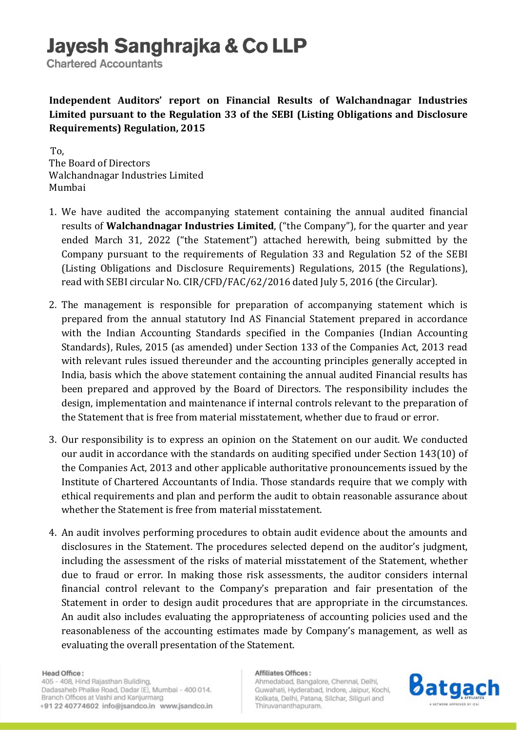# Jayesh Sanghrajka & Co LLP

**Chartered Accountants** 

Independent Auditors' report on Financial Results of Walchandnagar Industries Limited pursuant to the Regulation 33 of the SEBI (Listing Obligations and Disclosure Requirements) Regulation, 2015

 To, The Board of Directors Walchandnagar Industries Limited Mumbai

- 1. We have audited the accompanying statement containing the annual audited financial results of Walchandnagar Industries Limited, ("the Company"), for the quarter and year ended March 31, 2022 ("the Statement") attached herewith, being submitted by the Company pursuant to the requirements of Regulation 33 and Regulation 52 of the SEBI (Listing Obligations and Disclosure Requirements) Regulations, 2015 (the Regulations), read with SEBI circular No. CIR/CFD/FAC/62/2016 dated July 5, 2016 (the Circular).
- 2. The management is responsible for preparation of accompanying statement which is prepared from the annual statutory Ind AS Financial Statement prepared in accordance with the Indian Accounting Standards specified in the Companies (Indian Accounting Standards), Rules, 2015 (as amended) under Section 133 of the Companies Act, 2013 read with relevant rules issued thereunder and the accounting principles generally accepted in India, basis which the above statement containing the annual audited Financial results has been prepared and approved by the Board of Directors. The responsibility includes the design, implementation and maintenance if internal controls relevant to the preparation of the Statement that is free from material misstatement, whether due to fraud or error.
- 3. Our responsibility is to express an opinion on the Statement on our audit. We conducted our audit in accordance with the standards on auditing specified under Section 143(10) of the Companies Act, 2013 and other applicable authoritative pronouncements issued by the Institute of Chartered Accountants of India. Those standards require that we comply with ethical requirements and plan and perform the audit to obtain reasonable assurance about whether the Statement is free from material misstatement.
- 4. An audit involves performing procedures to obtain audit evidence about the amounts and disclosures in the Statement. The procedures selected depend on the auditor's judgment, including the assessment of the risks of material misstatement of the Statement, whether due to fraud or error. In making those risk assessments, the auditor considers internal financial control relevant to the Company's preparation and fair presentation of the Statement in order to design audit procedures that are appropriate in the circumstances. An audit also includes evaluating the appropriateness of accounting policies used and the reasonableness of the accounting estimates made by Company's management, as well as evaluating the overall presentation of the Statement.

### Head Office:

405 - 408, Hind Rajasthan Building, Dadasaheb Phalke Road, Dadar (E), Mumbai - 400 014. Branch Offices at Vashi and Kanjurmarg +91 22 40774602 info@jsandco.in www.jsandco.in

### Affiliates Offices:

Ahmedabad, Bangalore, Chennai, Delhi, Guwahati, Hyderabad, Indore, Jaipur, Kochi, Kolkata, Delhi, Patana, Silchar, Siliguri and Thiruvananthapuram.

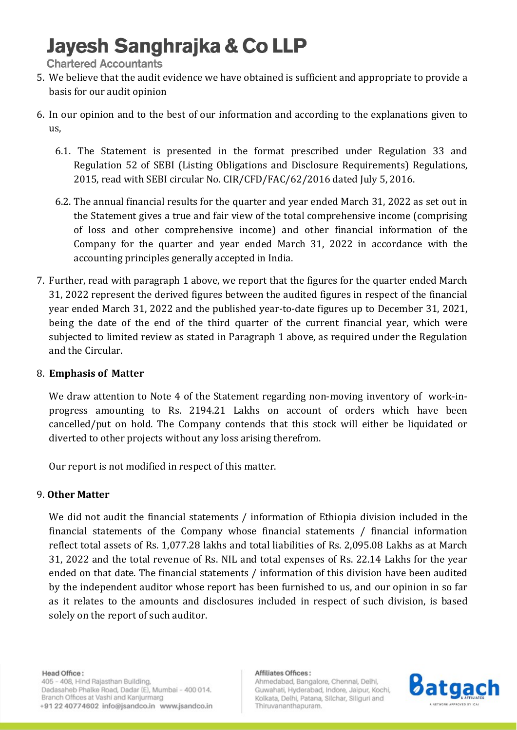# Jayesh Sanghrajka & Co LLP

**Chartered Accountants** 

- 5. We believe that the audit evidence we have obtained is sufficient and appropriate to provide a basis for our audit opinion
- 6. In our opinion and to the best of our information and according to the explanations given to us,
	- 6.1. The Statement is presented in the format prescribed under Regulation 33 and Regulation 52 of SEBI (Listing Obligations and Disclosure Requirements) Regulations, 2015, read with SEBI circular No. CIR/CFD/FAC/62/2016 dated July 5, 2016.
	- 6.2. The annual financial results for the quarter and year ended March 31, 2022 as set out in the Statement gives a true and fair view of the total comprehensive income (comprising of loss and other comprehensive income) and other financial information of the Company for the quarter and year ended March 31, 2022 in accordance with the accounting principles generally accepted in India.
- 7. Further, read with paragraph 1 above, we report that the figures for the quarter ended March 31, 2022 represent the derived figures between the audited figures in respect of the financial year ended March 31, 2022 and the published year-to-date figures up to December 31, 2021, being the date of the end of the third quarter of the current financial year, which were subjected to limited review as stated in Paragraph 1 above, as required under the Regulation and the Circular.

# 8. Emphasis of Matter

We draw attention to Note 4 of the Statement regarding non-moving inventory of work-inprogress amounting to Rs. 2194.21 Lakhs on account of orders which have been cancelled/put on hold. The Company contends that this stock will either be liquidated or diverted to other projects without any loss arising therefrom.

Our report is not modified in respect of this matter.

# 9. Other Matter

We did not audit the financial statements / information of Ethiopia division included in the financial statements of the Company whose financial statements / financial information reflect total assets of Rs. 1,077.28 lakhs and total liabilities of Rs. 2,095.08 Lakhs as at March 31, 2022 and the total revenue of Rs. NIL and total expenses of Rs. 22.14 Lakhs for the year ended on that date. The financial statements / information of this division have been audited by the independent auditor whose report has been furnished to us, and our opinion in so far as it relates to the amounts and disclosures included in respect of such division, is based solely on the report of such auditor.

## Head Office:

405 - 408, Hind Rajasthan Building, Dadasaheb Phalke Road, Dadar (E), Mumbai - 400 014. Branch Offices at Vashi and Kanjurmarg +91 22 40774602 info@jsandco.in www.jsandco.in

### Affiliates Offices:

Ahmedabad, Bangalore, Chennai, Delhi, Guwahati, Hyderabad, Indore, Jaipur, Kochi, Kolkata, Delhi, Patana, Silchar, Siliguri and Thiruvananthapuram.